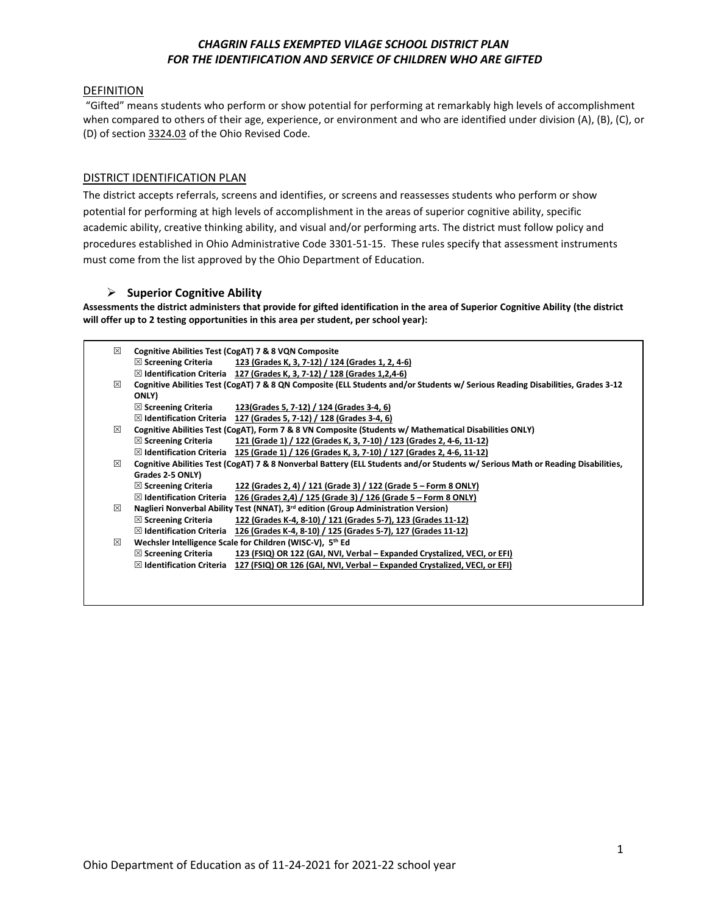# *CHAGRIN FALLS EXEMPTED VILAGE SCHOOL DISTRICT PLAN FOR THE IDENTIFICATION AND SERVICE OF CHILDREN WHO ARE GIFTED*

### DEFINITION

"Gifted" means students who perform or show potential for performing at remarkably high levels of accomplishment when compared to others of their age, experience, or environment and who are identified under division (A), (B), (C), or (D) of section 3324.03 of the Ohio Revised Code.

## DISTRICT IDENTIFICATION PLAN

The district accepts referrals, screens and identifies, or screens and reassesses students who perform or show potential for performing at high levels of accomplishment in the areas of superior cognitive ability, specific academic ability, creative thinking ability, and visual and/or performing arts. The district must follow policy and procedures established in Ohio Administrative Code 3301-51-15. These rules specify that assessment instruments must come from the list approved by the Ohio Department of Education.

## **Superior Cognitive Ability**

**Assessments the district administers that provide for gifted identification in the area of Superior Cognitive Ability (the district will offer up to 2 testing opportunities in this area per student, per school year):**

| 冈 | Cognitive Abilities Test (CogAT) 7 & 8 VQN Composite |                                                                                                                                 |  |  |  |  |
|---|------------------------------------------------------|---------------------------------------------------------------------------------------------------------------------------------|--|--|--|--|
|   | $\boxtimes$ Screening Criteria                       | 123 (Grades K, 3, 7-12) / 124 (Grades 1, 2, 4-6)                                                                                |  |  |  |  |
|   |                                                      | $\boxtimes$ Identification Criteria 127 (Grades K, 3, 7-12) / 128 (Grades 1,2,4-6)                                              |  |  |  |  |
| ⊠ |                                                      | Cognitive Abilities Test (CogAT) 7 & 8 QN Composite (ELL Students and/or Students w/ Serious Reading Disabilities, Grades 3-12  |  |  |  |  |
|   | ONLY)                                                |                                                                                                                                 |  |  |  |  |
|   | $\boxtimes$ Screening Criteria                       | 123 (Grades 5, 7-12) / 124 (Grades 3-4, 6)                                                                                      |  |  |  |  |
|   | $\boxtimes$ Identification Criteria                  | 127 (Grades 5, 7-12) / 128 (Grades 3-4, 6)                                                                                      |  |  |  |  |
| 冈 |                                                      | Cognitive Abilities Test (CogAT), Form 7 & 8 VN Composite (Students w/ Mathematical Disabilities ONLY)                          |  |  |  |  |
|   | $\boxtimes$ Screening Criteria                       | 121 (Grade 1) / 122 (Grades K, 3, 7-10) / 123 (Grades 2, 4-6, 11-12)                                                            |  |  |  |  |
|   | $\boxtimes$ Identification Criteria                  | 125 (Grade 1) / 126 (Grades K, 3, 7-10) / 127 (Grades 2, 4-6, 11-12)                                                            |  |  |  |  |
| ⊠ |                                                      | Cognitive Abilities Test (CogAT) 7 & 8 Nonverbal Battery (ELL Students and/or Students w/ Serious Math or Reading Disabilities, |  |  |  |  |
|   | Grades 2-5 ONLY)                                     |                                                                                                                                 |  |  |  |  |
|   | $\boxtimes$ Screening Criteria                       | 122 (Grades 2, 4) / 121 (Grade 3) / 122 (Grade 5 - Form 8 ONLY)                                                                 |  |  |  |  |
|   | $\boxtimes$ Identification Criteria                  | 126 (Grades 2,4) / 125 (Grade 3) / 126 (Grade 5 – Form 8 ONLY)                                                                  |  |  |  |  |
| ⊠ |                                                      | Naglieri Nonverbal Ability Test (NNAT), 3 <sup>rd</sup> edition (Group Administration Version)                                  |  |  |  |  |
|   | $\boxtimes$ Screening Criteria                       | 122 (Grades K-4, 8-10) / 121 (Grades 5-7), 123 (Grades 11-12)                                                                   |  |  |  |  |
|   | $\boxtimes$ Identification Criteria                  | 126 (Grades K-4, 8-10) / 125 (Grades 5-7), 127 (Grades 11-12)                                                                   |  |  |  |  |
| ⊠ |                                                      | Wechsler Intelligence Scale for Children (WISC-V), 5th Ed                                                                       |  |  |  |  |
|   | $\boxtimes$ Screening Criteria                       | 123 (FSIQ) OR 122 (GAI, NVI, Verbal - Expanded Crystalized, VECI, or EFI)                                                       |  |  |  |  |
|   | $\boxtimes$ Identification Criteria                  | 127 (FSIQ) OR 126 (GAI, NVI, Verbal – Expanded Crystalized, VECI, or EFI)                                                       |  |  |  |  |
|   |                                                      |                                                                                                                                 |  |  |  |  |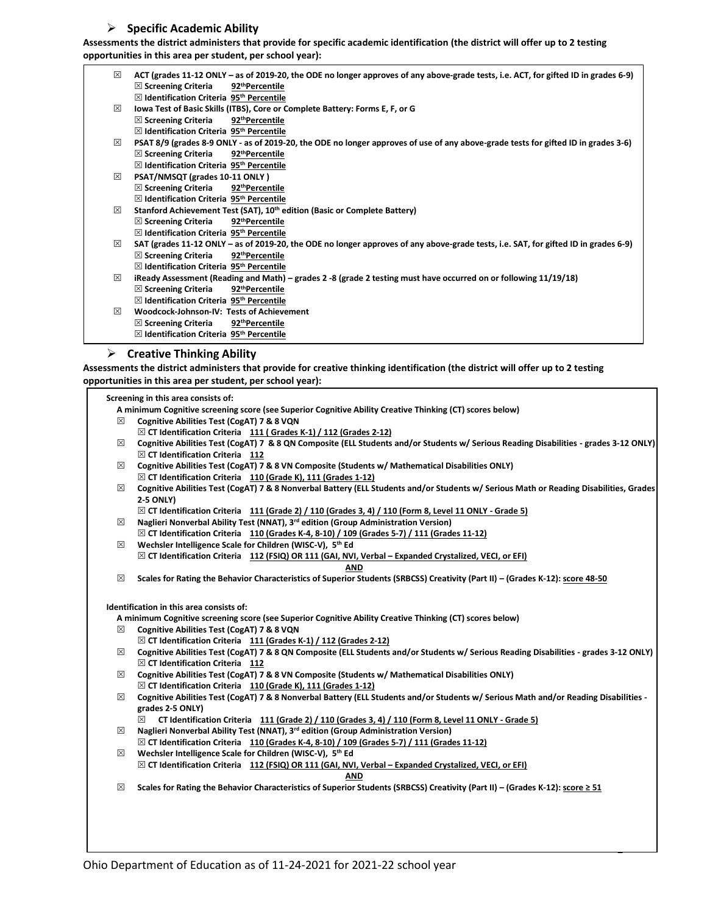## **Specific Academic Ability**

**Assessments the district administers that provide for specific academic identification (the district will offer up to 2 testing opportunities in this area per student, per school year):**

| 冈 | ACT (grades 11-12 ONLY – as of 2019-20, the ODE no longer approves of any above-grade tests, i.e. ACT, for gifted ID in grades 6-9) |
|---|-------------------------------------------------------------------------------------------------------------------------------------|
|   | $\boxtimes$ Screening Criteria<br>92 <sup>th</sup> Percentile                                                                       |
|   | $\boxtimes$ Identification Criteria 95 <sup>th</sup> Percentile                                                                     |
| 冈 | lowa Test of Basic Skills (ITBS), Core or Complete Battery: Forms E, F, or G                                                        |
|   | 92 <sup>th</sup> Percentile<br>$\boxtimes$ Screening Criteria                                                                       |
|   | $\boxtimes$ Identification Criteria 95 <sup>th</sup> Percentile                                                                     |
| 冈 | PSAT 8/9 (grades 8-9 ONLY - as of 2019-20, the ODE no longer approves of use of any above-grade tests for gifted ID in grades 3-6)  |
|   | $\boxtimes$ Screening Criteria<br>92 <sup>th</sup> Percentile                                                                       |
|   | $\boxtimes$ Identification Criteria 95 <sup>th</sup> Percentile                                                                     |
| 冈 | PSAT/NMSQT (grades 10-11 ONLY)                                                                                                      |
|   | $\boxtimes$ Screening Criteria<br>92 <sup>th</sup> Percentile                                                                       |
|   | $\boxtimes$ Identification Criteria 95 <sup>th</sup> Percentile                                                                     |
| 冈 | Stanford Achievement Test (SAT), 10 <sup>th</sup> edition (Basic or Complete Battery)                                               |
|   | $\boxtimes$ Screening Criteria<br>92 <sup>th</sup> Percentile                                                                       |
|   | $\boxtimes$ Identification Criteria 95 <sup>th</sup> Percentile                                                                     |
| 冈 | SAT (grades 11-12 ONLY – as of 2019-20, the ODE no longer approves of any above-grade tests, i.e. SAT, for gifted ID in grades 6-9) |
|   | $\boxtimes$ Screening Criteria<br>92 <sup>th</sup> Percentile                                                                       |
|   | $\boxtimes$ Identification Criteria 95 <sup>th</sup> Percentile                                                                     |
| 冈 | iReady Assessment (Reading and Math) – grades 2 -8 (grade 2 testing must have occurred on or following 11/19/18)                    |
|   | 92 <sup>th</sup> Percentile<br>$\boxtimes$ Screening Criteria                                                                       |
|   | $\boxtimes$ Identification Criteria 95 <sup>th</sup> Percentile                                                                     |
| 冈 | Woodcock-Johnson-IV: Tests of Achievement                                                                                           |
|   | $\boxtimes$ Screening Criteria<br>92 <sup>th</sup> Percentile                                                                       |
|   | $\boxtimes$ Identification Criteria 95 <sup>th</sup> Percentile                                                                     |
|   | $\triangleright$ Crootive Thinking Ability                                                                                          |

#### **Creative Thinking Ability**

**Assessments the district administers that provide for creative thinking identification (the district will offer up to 2 testing opportunities in this area per student, per school year):**

|   | Screening in this area consists of:                                                                                                    |  |  |  |  |  |
|---|----------------------------------------------------------------------------------------------------------------------------------------|--|--|--|--|--|
|   | A minimum Cognitive screening score (see Superior Cognitive Ability Creative Thinking (CT) scores below)                               |  |  |  |  |  |
| ⊠ | Cognitive Abilities Test (CogAT) 7 & 8 VQN                                                                                             |  |  |  |  |  |
|   | $\boxtimes$ CT Identification Criteria 111 (Grades K-1) / 112 (Grades 2-12)                                                            |  |  |  |  |  |
| ⊠ | Cognitive Abilities Test (CogAT) 7 & 8 QN Composite (ELL Students and/or Students w/ Serious Reading Disabilities - grades 3-12 ONLY)  |  |  |  |  |  |
|   | $\boxtimes$ CT Identification Criteria 112                                                                                             |  |  |  |  |  |
| ⊠ | Cognitive Abilities Test (CogAT) 7 & 8 VN Composite (Students w/ Mathematical Disabilities ONLY)                                       |  |  |  |  |  |
|   | $\boxtimes$ CT Identification Criteria 110 (Grade K), 111 (Grades 1-12)                                                                |  |  |  |  |  |
| ⊠ | Cognitive Abilities Test (CogAT) 7 & 8 Nonverbal Battery (ELL Students and/or Students w/ Serious Math or Reading Disabilities, Grades |  |  |  |  |  |
|   | <b>2-5 ONLY)</b>                                                                                                                       |  |  |  |  |  |
|   | $\boxtimes$ CT Identification Criteria 111 (Grade 2) / 110 (Grades 3, 4) / 110 (Form 8, Level 11 ONLY - Grade 5)                       |  |  |  |  |  |
| ⊠ | Naglieri Nonverbal Ability Test (NNAT), 3 <sup>rd</sup> edition (Group Administration Version)                                         |  |  |  |  |  |
|   | $\boxtimes$ CT Identification Criteria 110 (Grades K-4, 8-10) / 109 (Grades 5-7) / 111 (Grades 11-12)                                  |  |  |  |  |  |
| ⊠ | Wechsler Intelligence Scale for Children (WISC-V), 5th Ed                                                                              |  |  |  |  |  |
|   | $\boxtimes$ CT Identification Criteria 112 (FSIQ) OR 111 (GAI, NVI, Verbal – Expanded Crystalized, VECI, or EFI)                       |  |  |  |  |  |
|   | AND                                                                                                                                    |  |  |  |  |  |
| ⊠ | Scales for Rating the Behavior Characteristics of Superior Students (SRBCSS) Creativity (Part II) - (Grades K-12): score 48-50         |  |  |  |  |  |
|   |                                                                                                                                        |  |  |  |  |  |
|   | Identification in this area consists of:                                                                                               |  |  |  |  |  |
|   | A minimum Cognitive screening score (see Superior Cognitive Ability Creative Thinking (CT) scores below)                               |  |  |  |  |  |
| × | Cognitive Abilities Test (CogAT) 7 & 8 VQN                                                                                             |  |  |  |  |  |
|   | $\boxtimes$ CT Identification Criteria 111 (Grades K-1) / 112 (Grades 2-12)                                                            |  |  |  |  |  |
| ⊠ | Cognitive Abilities Test (CogAT) 7 & 8 QN Composite (ELL Students and/or Students w/ Serious Reading Disabilities - grades 3-12 ONLY)  |  |  |  |  |  |
|   | $\boxtimes$ CT Identification Criteria 112                                                                                             |  |  |  |  |  |
| × | Cognitive Abilities Test (CogAT) 7 & 8 VN Composite (Students w/ Mathematical Disabilities ONLY)                                       |  |  |  |  |  |
|   | $\boxtimes$ CT Identification Criteria 110 (Grade K), 111 (Grades 1-12)                                                                |  |  |  |  |  |
| ⊠ | Cognitive Abilities Test (CogAT) 7 & 8 Nonverbal Battery (ELL Students and/or Students w/ Serious Math and/or Reading Disabilities -   |  |  |  |  |  |
|   | grades 2-5 ONLY)                                                                                                                       |  |  |  |  |  |
|   | 冈<br>CT Identification Criteria 111 (Grade 2) / 110 (Grades 3, 4) / 110 (Form 8, Level 11 ONLY - Grade 5)                              |  |  |  |  |  |
| ⊠ | Naglieri Nonverbal Ability Test (NNAT), 3rd edition (Group Administration Version)                                                     |  |  |  |  |  |
|   | $\boxtimes$ CT Identification Criteria 110 (Grades K-4, 8-10) / 109 (Grades 5-7) / 111 (Grades 11-12)                                  |  |  |  |  |  |
| ⊠ | Wechsler Intelligence Scale for Children (WISC-V), 5th Ed                                                                              |  |  |  |  |  |
|   | $\boxtimes$ CT Identification Criteria 112 (FSIQ) OR 111 (GAI, NVI, Verbal - Expanded Crystalized, VECI, or EFI)                       |  |  |  |  |  |
|   | AND                                                                                                                                    |  |  |  |  |  |
| ⊠ | Scales for Rating the Behavior Characteristics of Superior Students (SRBCSS) Creativity (Part II) – (Grades K-12): score ≥ 51          |  |  |  |  |  |
|   |                                                                                                                                        |  |  |  |  |  |
|   |                                                                                                                                        |  |  |  |  |  |
|   |                                                                                                                                        |  |  |  |  |  |
|   |                                                                                                                                        |  |  |  |  |  |
|   |                                                                                                                                        |  |  |  |  |  |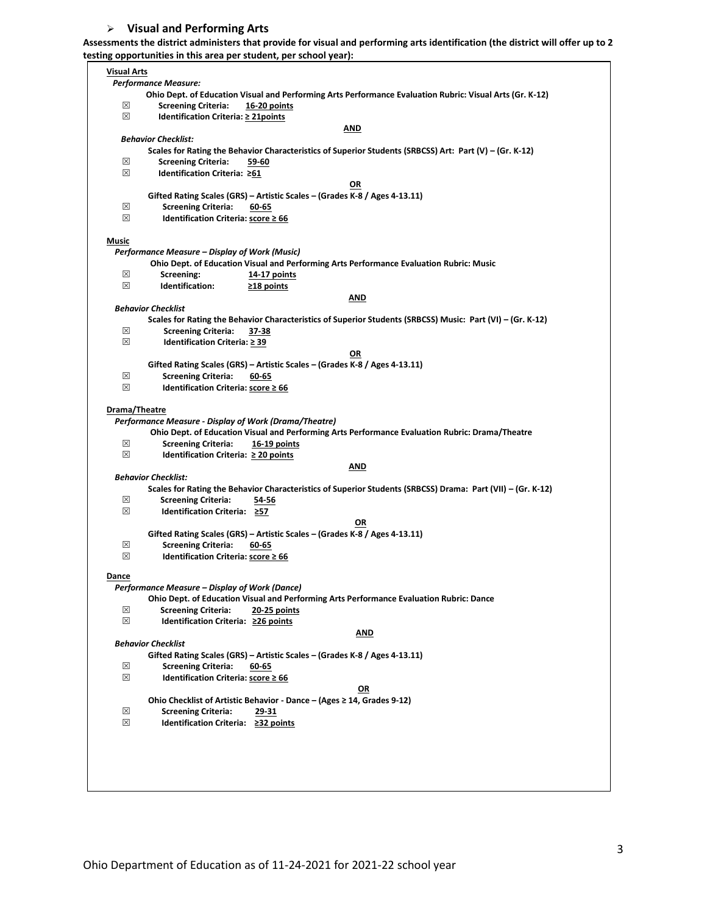## **Visual and Performing Arts**

**Assessments the district administers that provide for visual and performing arts identification (the district will offer up to 2 testing opportunities in this area per student, per school year):**

| Visual Arts   |                                                       |                                                                                                             |
|---------------|-------------------------------------------------------|-------------------------------------------------------------------------------------------------------------|
|               |                                                       |                                                                                                             |
|               | <b>Performance Measure:</b>                           |                                                                                                             |
|               |                                                       | Ohio Dept. of Education Visual and Performing Arts Performance Evaluation Rubric: Visual Arts (Gr. K-12)    |
| ⊠             | <b>Screening Criteria:</b>                            | 16-20 points                                                                                                |
| ⊠             | Identification Criteria: ≥ 21points                   |                                                                                                             |
|               |                                                       | AND                                                                                                         |
|               | <b>Behavior Checklist:</b>                            |                                                                                                             |
|               |                                                       | Scales for Rating the Behavior Characteristics of Superior Students (SRBCSS) Art: Part (V) – (Gr. K-12)     |
| ⊠             | <b>Screening Criteria:</b>                            | 59-60                                                                                                       |
| ⊠             | Identification Criteria: ≥61                          |                                                                                                             |
|               |                                                       | OR                                                                                                          |
|               |                                                       | Gifted Rating Scales (GRS) - Artistic Scales - (Grades K-8 / Ages 4-13.11)                                  |
| ⊠             | <b>Screening Criteria:</b>                            | 60-65                                                                                                       |
| ⊠             | Identification Criteria: score ≥ 66                   |                                                                                                             |
|               |                                                       |                                                                                                             |
| Music         |                                                       |                                                                                                             |
|               | Performance Measure – Display of Work (Music)         |                                                                                                             |
|               |                                                       |                                                                                                             |
|               |                                                       | Ohio Dept. of Education Visual and Performing Arts Performance Evaluation Rubric: Music                     |
| ⊠             | Screening:                                            | 14-17 points                                                                                                |
| ⊠             | Identification:                                       | $\geq$ 18 points                                                                                            |
|               |                                                       | AND                                                                                                         |
|               | <b>Behavior Checklist</b>                             |                                                                                                             |
|               |                                                       | Scales for Rating the Behavior Characteristics of Superior Students (SRBCSS) Music: Part (VI) - (Gr. K-12)  |
| ⊠             | <b>Screening Criteria:</b>                            | 37-38                                                                                                       |
| ⊠             | Identification Criteria: ≥ 39                         |                                                                                                             |
|               |                                                       | OR                                                                                                          |
|               |                                                       | Gifted Rating Scales (GRS) - Artistic Scales - (Grades K-8 / Ages 4-13.11)                                  |
| ⊠             | <b>Screening Criteria:</b>                            | 60-65                                                                                                       |
| ⊠             | Identification Criteria: score ≥ 66                   |                                                                                                             |
|               |                                                       |                                                                                                             |
| Drama/Theatre |                                                       |                                                                                                             |
|               | Performance Measure - Display of Work (Drama/Theatre) |                                                                                                             |
|               |                                                       |                                                                                                             |
|               |                                                       | Ohio Dept. of Education Visual and Performing Arts Performance Evaluation Rubric: Drama/Theatre             |
| ⊠             | <b>Screening Criteria:</b>                            | 16-19 points                                                                                                |
| ⊠             | Identification Criteria: ≥ 20 points                  |                                                                                                             |
|               |                                                       | AND                                                                                                         |
|               | <b>Behavior Checklist:</b>                            |                                                                                                             |
|               |                                                       | Scales for Rating the Behavior Characteristics of Superior Students (SRBCSS) Drama: Part (VII) - (Gr. K-12) |
| ⊠             | <b>Screening Criteria:</b>                            | 54-56                                                                                                       |
| ⊠             | Identification Criteria: ≥57                          |                                                                                                             |
|               |                                                       | OR                                                                                                          |
|               |                                                       | Gifted Rating Scales (GRS) - Artistic Scales - (Grades K-8 / Ages 4-13.11)                                  |
| ⊠             | <b>Screening Criteria:</b>                            | 60-65                                                                                                       |
| ⊠             | Identification Criteria: score ≥ 66                   |                                                                                                             |
|               |                                                       |                                                                                                             |
| <u>Dance</u>  |                                                       |                                                                                                             |
|               | Performance Measure - Display of Work (Dance)         |                                                                                                             |
|               |                                                       | Ohio Dept. of Education Visual and Performing Arts Performance Evaluation Rubric: Dance                     |
| ⊠             | <b>Screening Criteria:</b>                            | 20-25 points                                                                                                |
|               |                                                       |                                                                                                             |
| ⊠             | Identification Criteria: ≥26 points                   |                                                                                                             |
|               |                                                       | <b>AND</b>                                                                                                  |
|               |                                                       |                                                                                                             |
|               | <b>Behavior Checklist</b>                             |                                                                                                             |
|               |                                                       | Gifted Rating Scales (GRS) - Artistic Scales - (Grades K-8 / Ages 4-13.11)                                  |
| ⊠             | <b>Screening Criteria:</b>                            | 60-65                                                                                                       |
| ⊠             | Identification Criteria: score ≥ 66                   |                                                                                                             |
|               |                                                       | OR                                                                                                          |
|               |                                                       |                                                                                                             |
|               |                                                       | Ohio Checklist of Artistic Behavior - Dance - (Ages ≥ 14, Grades 9-12)                                      |
| ⊠             | <b>Screening Criteria:</b>                            | <u>29-31</u>                                                                                                |
| ⊠             | Identification Criteria: ≥32 points                   |                                                                                                             |
|               |                                                       |                                                                                                             |
|               |                                                       |                                                                                                             |
|               |                                                       |                                                                                                             |
|               |                                                       |                                                                                                             |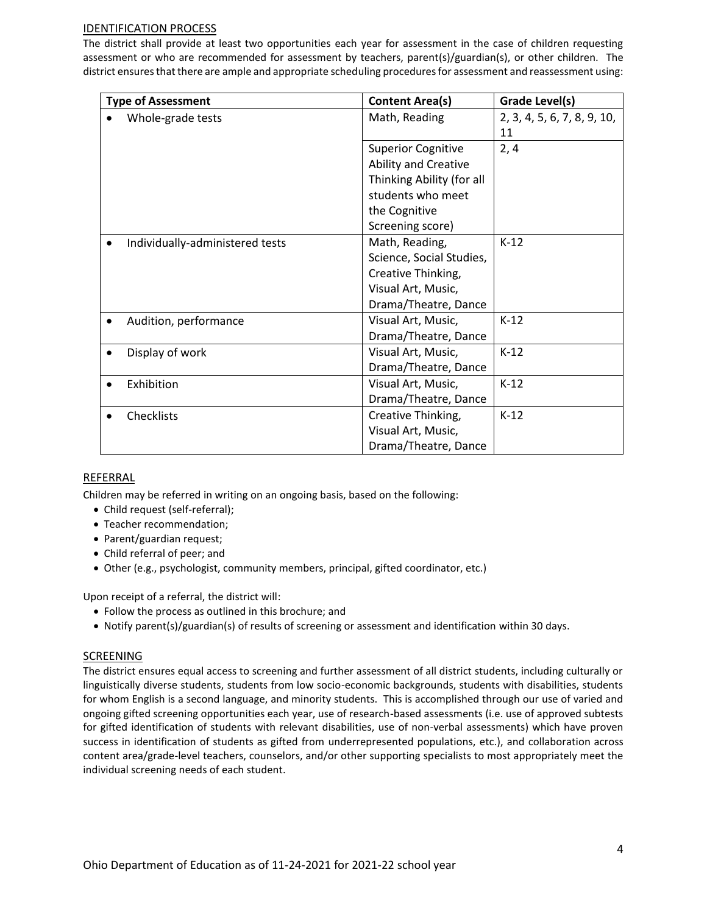## IDENTIFICATION PROCESS

The district shall provide at least two opportunities each year for assessment in the case of children requesting assessment or who are recommended for assessment by teachers, parent(s)/guardian(s), or other children. The district ensures that there are ample and appropriate scheduling procedures for assessment and reassessment using:

| <b>Type of Assessment</b>       | <b>Content Area(s)</b>      | Grade Level(s)              |
|---------------------------------|-----------------------------|-----------------------------|
| Whole-grade tests               | Math, Reading               | 2, 3, 4, 5, 6, 7, 8, 9, 10, |
|                                 |                             | 11                          |
|                                 | <b>Superior Cognitive</b>   | 2, 4                        |
|                                 | <b>Ability and Creative</b> |                             |
|                                 | Thinking Ability (for all   |                             |
|                                 | students who meet           |                             |
|                                 | the Cognitive               |                             |
|                                 | Screening score)            |                             |
| Individually-administered tests | Math, Reading,              | $K-12$                      |
|                                 | Science, Social Studies,    |                             |
|                                 | Creative Thinking,          |                             |
|                                 | Visual Art, Music,          |                             |
|                                 | Drama/Theatre, Dance        |                             |
| Audition, performance           | Visual Art, Music,          | $K-12$                      |
|                                 | Drama/Theatre, Dance        |                             |
| Display of work                 | Visual Art, Music,          | $K-12$                      |
|                                 | Drama/Theatre, Dance        |                             |
| Exhibition                      | Visual Art, Music,          | $K-12$                      |
|                                 | Drama/Theatre, Dance        |                             |
| Checklists                      | Creative Thinking,          | $K-12$                      |
|                                 | Visual Art, Music,          |                             |
|                                 | Drama/Theatre, Dance        |                             |

## REFERRAL

Children may be referred in writing on an ongoing basis, based on the following:

- Child request (self-referral);
- Teacher recommendation;
- Parent/guardian request;
- Child referral of peer; and
- Other (e.g., psychologist, community members, principal, gifted coordinator, etc.)

Upon receipt of a referral, the district will:

- Follow the process as outlined in this brochure; and
- Notify parent(s)/guardian(s) of results of screening or assessment and identification within 30 days.

#### **SCREENING**

The district ensures equal access to screening and further assessment of all district students, including culturally or linguistically diverse students, students from low socio-economic backgrounds, students with disabilities, students for whom English is a second language, and minority students. This is accomplished through our use of varied and ongoing gifted screening opportunities each year, use of research-based assessments (i.e. use of approved subtests for gifted identification of students with relevant disabilities, use of non-verbal assessments) which have proven success in identification of students as gifted from underrepresented populations, etc.), and collaboration across content area/grade-level teachers, counselors, and/or other supporting specialists to most appropriately meet the individual screening needs of each student.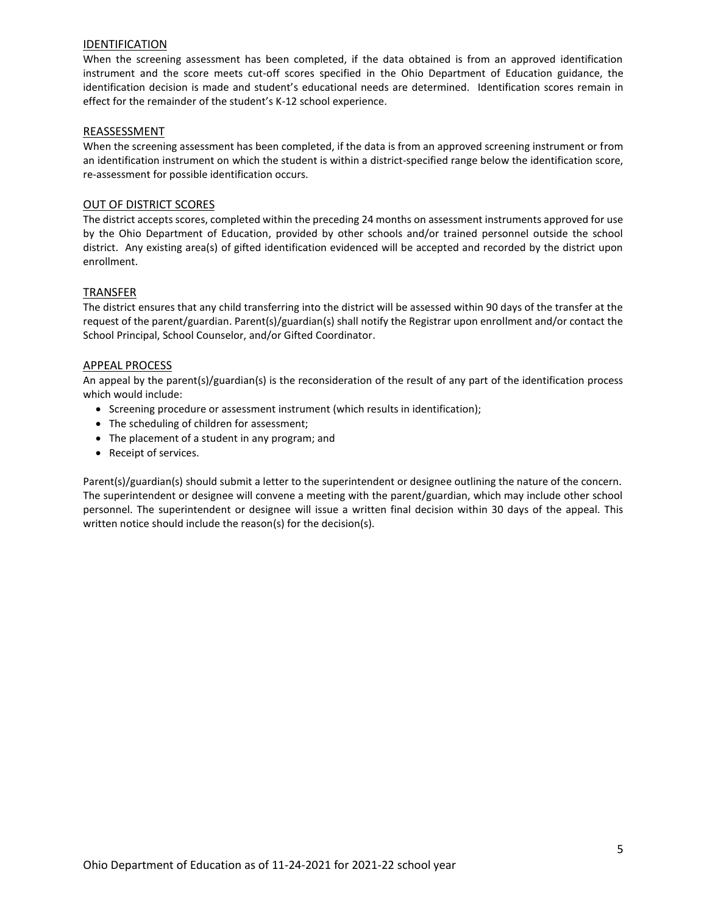### IDENTIFICATION

When the screening assessment has been completed, if the data obtained is from an approved identification instrument and the score meets cut-off scores specified in the Ohio Department of Education guidance, the identification decision is made and student's educational needs are determined. Identification scores remain in effect for the remainder of the student's K-12 school experience.

## REASSESSMENT

When the screening assessment has been completed, if the data is from an approved screening instrument or from an identification instrument on which the student is within a district-specified range below the identification score, re-assessment for possible identification occurs.

## OUT OF DISTRICT SCORES

The district accepts scores, completed within the preceding 24 months on assessment instruments approved for use by the Ohio Department of Education, provided by other schools and/or trained personnel outside the school district. Any existing area(s) of gifted identification evidenced will be accepted and recorded by the district upon enrollment.

### TRANSFER

The district ensures that any child transferring into the district will be assessed within 90 days of the transfer at the request of the parent/guardian. Parent(s)/guardian(s) shall notify the Registrar upon enrollment and/or contact the School Principal, School Counselor, and/or Gifted Coordinator.

### APPEAL PROCESS

An appeal by the parent(s)/guardian(s) is the reconsideration of the result of any part of the identification process which would include:

- Screening procedure or assessment instrument (which results in identification);
- The scheduling of children for assessment;
- The placement of a student in any program; and
- Receipt of services.

Parent(s)/guardian(s) should submit a letter to the superintendent or designee outlining the nature of the concern. The superintendent or designee will convene a meeting with the parent/guardian, which may include other school personnel. The superintendent or designee will issue a written final decision within 30 days of the appeal. This written notice should include the reason(s) for the decision(s).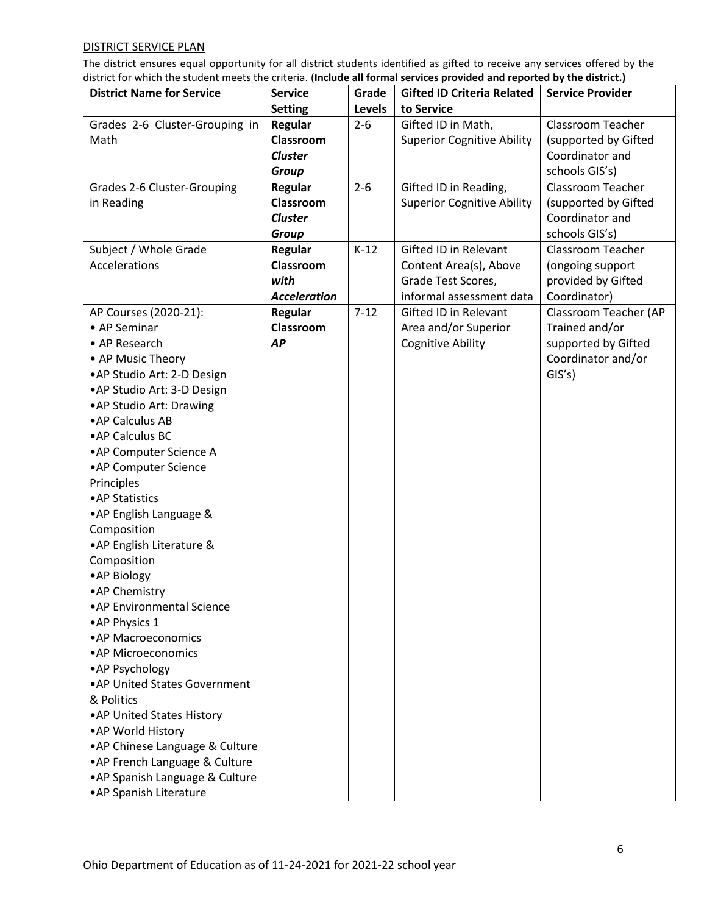# DISTRICT SERVICE PLAN

The district ensures equal opportunity for all district students identified as gifted to receive any services offered by the district for which the student meets the criteria. (**Include all formal services provided and reported by the district.)** 

| <b>District Name for Service</b>          | <b>Service</b>      | Grade    | <b>Gifted ID Criteria Related</b> | <b>Service Provider</b> |
|-------------------------------------------|---------------------|----------|-----------------------------------|-------------------------|
|                                           | <b>Setting</b>      | Levels   | to Service                        |                         |
| Grades 2-6 Cluster-Grouping in            | <b>Regular</b>      | $2 - 6$  | Gifted ID in Math,                | Classroom Teacher       |
| Math                                      | Classroom           |          | <b>Superior Cognitive Ability</b> | (supported by Gifted    |
|                                           | <b>Cluster</b>      |          |                                   | Coordinator and         |
|                                           | <b>Group</b>        |          |                                   | schools GIS's)          |
|                                           | Regular             | $2 - 6$  | Gifted ID in Reading,             | Classroom Teacher       |
| Grades 2-6 Cluster-Grouping<br>in Reading | Classroom           |          | <b>Superior Cognitive Ability</b> | (supported by Gifted    |
|                                           | <b>Cluster</b>      |          |                                   | Coordinator and         |
|                                           |                     |          |                                   |                         |
|                                           | <b>Group</b>        |          | Gifted ID in Relevant             | schools GIS's)          |
| Subject / Whole Grade                     | Regular             | $K-12$   |                                   | Classroom Teacher       |
| Accelerations                             | Classroom           |          | Content Area(s), Above            | (ongoing support        |
|                                           | with                |          | Grade Test Scores,                | provided by Gifted      |
|                                           | <b>Acceleration</b> |          | informal assessment data          | Coordinator)            |
| AP Courses (2020-21):                     | Regular             | $7 - 12$ | Gifted ID in Relevant             | Classroom Teacher (AP   |
| • AP Seminar                              | Classroom           |          | Area and/or Superior              | Trained and/or          |
| • AP Research                             | AP                  |          | <b>Cognitive Ability</b>          | supported by Gifted     |
| • AP Music Theory                         |                     |          |                                   | Coordinator and/or      |
| • AP Studio Art: 2-D Design               |                     |          |                                   | GIS's)                  |
| • AP Studio Art: 3-D Design               |                     |          |                                   |                         |
| • AP Studio Art: Drawing                  |                     |          |                                   |                         |
| • AP Calculus AB                          |                     |          |                                   |                         |
| • AP Calculus BC                          |                     |          |                                   |                         |
| • AP Computer Science A                   |                     |          |                                   |                         |
| • AP Computer Science                     |                     |          |                                   |                         |
| Principles                                |                     |          |                                   |                         |
| • AP Statistics                           |                     |          |                                   |                         |
| • AP English Language &                   |                     |          |                                   |                         |
| Composition                               |                     |          |                                   |                         |
| • AP English Literature &                 |                     |          |                                   |                         |
| Composition                               |                     |          |                                   |                         |
| • AP Biology                              |                     |          |                                   |                         |
| • AP Chemistry                            |                     |          |                                   |                         |
| • AP Environmental Science                |                     |          |                                   |                         |
| • AP Physics 1                            |                     |          |                                   |                         |
| • AP Macroeconomics                       |                     |          |                                   |                         |
| • AP Microeconomics                       |                     |          |                                   |                         |
| • AP Psychology                           |                     |          |                                   |                         |
| • AP United States Government             |                     |          |                                   |                         |
| & Politics                                |                     |          |                                   |                         |
| • AP United States History                |                     |          |                                   |                         |
| • AP World History                        |                     |          |                                   |                         |
| • AP Chinese Language & Culture           |                     |          |                                   |                         |
| • AP French Language & Culture            |                     |          |                                   |                         |
| • AP Spanish Language & Culture           |                     |          |                                   |                         |
| • AP Spanish Literature                   |                     |          |                                   |                         |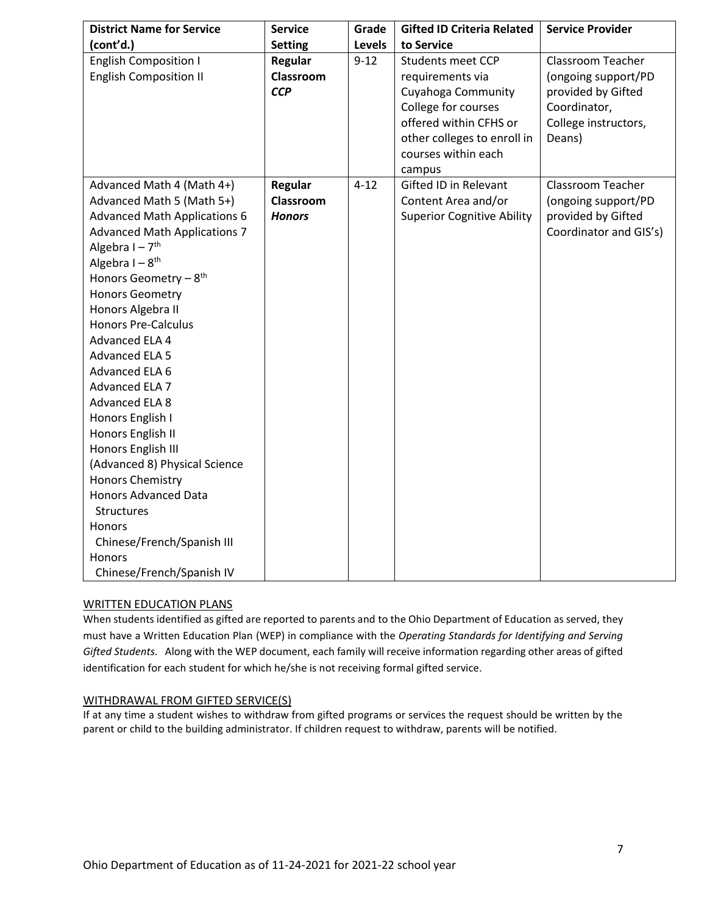| <b>District Name for Service</b>                                                                                                                                                                                                                                                                                                                                                                                                                                                                                                                                                                                                                                                                       | <b>Service</b>                               | Grade         | <b>Gifted ID Criteria Related</b>                                                                                                                                                   | <b>Service Provider</b>                                                                                          |
|--------------------------------------------------------------------------------------------------------------------------------------------------------------------------------------------------------------------------------------------------------------------------------------------------------------------------------------------------------------------------------------------------------------------------------------------------------------------------------------------------------------------------------------------------------------------------------------------------------------------------------------------------------------------------------------------------------|----------------------------------------------|---------------|-------------------------------------------------------------------------------------------------------------------------------------------------------------------------------------|------------------------------------------------------------------------------------------------------------------|
| (cont'd.)                                                                                                                                                                                                                                                                                                                                                                                                                                                                                                                                                                                                                                                                                              | <b>Setting</b>                               | <b>Levels</b> | to Service                                                                                                                                                                          |                                                                                                                  |
| <b>English Composition I</b><br><b>English Composition II</b>                                                                                                                                                                                                                                                                                                                                                                                                                                                                                                                                                                                                                                          | Regular<br>Classroom<br><b>CCP</b>           | $9 - 12$      | <b>Students meet CCP</b><br>requirements via<br>Cuyahoga Community<br>College for courses<br>offered within CFHS or<br>other colleges to enroll in<br>courses within each<br>campus | Classroom Teacher<br>(ongoing support/PD<br>provided by Gifted<br>Coordinator,<br>College instructors,<br>Deans) |
| Advanced Math 4 (Math 4+)<br>Advanced Math 5 (Math 5+)<br><b>Advanced Math Applications 6</b><br><b>Advanced Math Applications 7</b><br>Algebra $I - 7$ <sup>th</sup><br>Algebra $I - 8$ <sup>th</sup><br>Honors Geometry $-8$ <sup>th</sup><br><b>Honors Geometry</b><br>Honors Algebra II<br><b>Honors Pre-Calculus</b><br>Advanced ELA 4<br><b>Advanced ELA 5</b><br>Advanced ELA 6<br>Advanced ELA 7<br>Advanced ELA 8<br>Honors English I<br>Honors English II<br>Honors English III<br>(Advanced 8) Physical Science<br><b>Honors Chemistry</b><br><b>Honors Advanced Data</b><br><b>Structures</b><br><b>Honors</b><br>Chinese/French/Spanish III<br><b>Honors</b><br>Chinese/French/Spanish IV | <b>Regular</b><br>Classroom<br><b>Honors</b> | $4 - 12$      | Gifted ID in Relevant<br>Content Area and/or<br><b>Superior Cognitive Ability</b>                                                                                                   | <b>Classroom Teacher</b><br>(ongoing support/PD<br>provided by Gifted<br>Coordinator and GIS's)                  |

# WRITTEN EDUCATION PLANS

When students identified as gifted are reported to parents and to the Ohio Department of Education as served, they must have a Written Education Plan (WEP) in compliance with the *Operating Standards for Identifying and Serving Gifted Students.* Along with the WEP document, each family will receive information regarding other areas of gifted identification for each student for which he/she is not receiving formal gifted service.

## WITHDRAWAL FROM GIFTED SERVICE(S)

If at any time a student wishes to withdraw from gifted programs or services the request should be written by the parent or child to the building administrator. If children request to withdraw, parents will be notified.